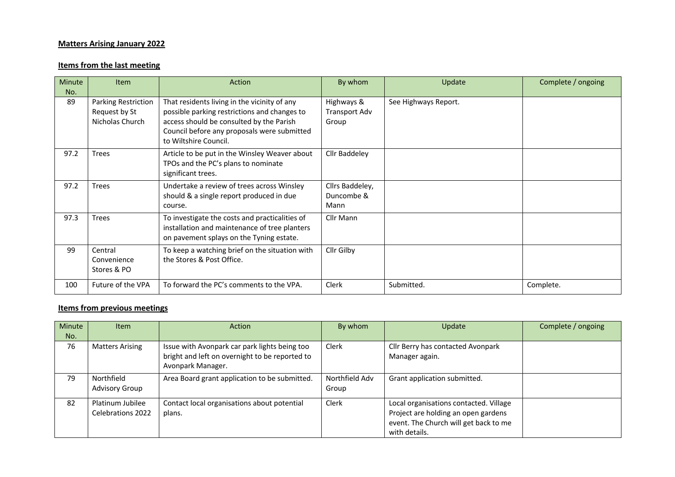## **Matters Arising January 2022**

## **Items from the last meeting**

| <b>Minute</b><br>No. | <b>Item</b>                                             | Action                                                                                                                                                                                                           | By whom                               | Update               | Complete / ongoing |
|----------------------|---------------------------------------------------------|------------------------------------------------------------------------------------------------------------------------------------------------------------------------------------------------------------------|---------------------------------------|----------------------|--------------------|
| 89                   | Parking Restriction<br>Request by St<br>Nicholas Church | That residents living in the vicinity of any<br>possible parking restrictions and changes to<br>access should be consulted by the Parish<br>Council before any proposals were submitted<br>to Wiltshire Council. | Highways &<br>Transport Adv<br>Group  | See Highways Report. |                    |
| 97.2                 | <b>Trees</b>                                            | Article to be put in the Winsley Weaver about<br>TPOs and the PC's plans to nominate<br>significant trees.                                                                                                       | Cllr Baddeley                         |                      |                    |
| 97.2                 | <b>Trees</b>                                            | Undertake a review of trees across Winsley<br>should & a single report produced in due<br>course.                                                                                                                | Cllrs Baddeley,<br>Duncombe &<br>Mann |                      |                    |
| 97.3                 | <b>Trees</b>                                            | To investigate the costs and practicalities of<br>installation and maintenance of tree planters<br>on pavement splays on the Tyning estate.                                                                      | Cllr Mann                             |                      |                    |
| 99                   | Central<br>Convenience<br>Stores & PO                   | To keep a watching brief on the situation with<br>the Stores & Post Office.                                                                                                                                      | Cllr Gilby                            |                      |                    |
| 100                  | Future of the VPA                                       | To forward the PC's comments to the VPA.                                                                                                                                                                         | <b>Clerk</b>                          | Submitted.           | Complete.          |

## **Items from previous meetings**

| Minute<br>No. | <b>Item</b>                           | Action                                                                                                               | By whom                 | Update                                                                                                                                  | Complete / ongoing |
|---------------|---------------------------------------|----------------------------------------------------------------------------------------------------------------------|-------------------------|-----------------------------------------------------------------------------------------------------------------------------------------|--------------------|
| 76            | <b>Matters Arising</b>                | Issue with Avonpark car park lights being too<br>bright and left on overnight to be reported to<br>Avonpark Manager. | Clerk                   | Cllr Berry has contacted Avonpark<br>Manager again.                                                                                     |                    |
| 79            | Northfield<br>Advisory Group          | Area Board grant application to be submitted.                                                                        | Northfield Adv<br>Group | Grant application submitted.                                                                                                            |                    |
| 82            | Platinum Jubilee<br>Celebrations 2022 | Contact local organisations about potential<br>plans.                                                                | Clerk                   | Local organisations contacted. Village<br>Project are holding an open gardens<br>event. The Church will get back to me<br>with details. |                    |